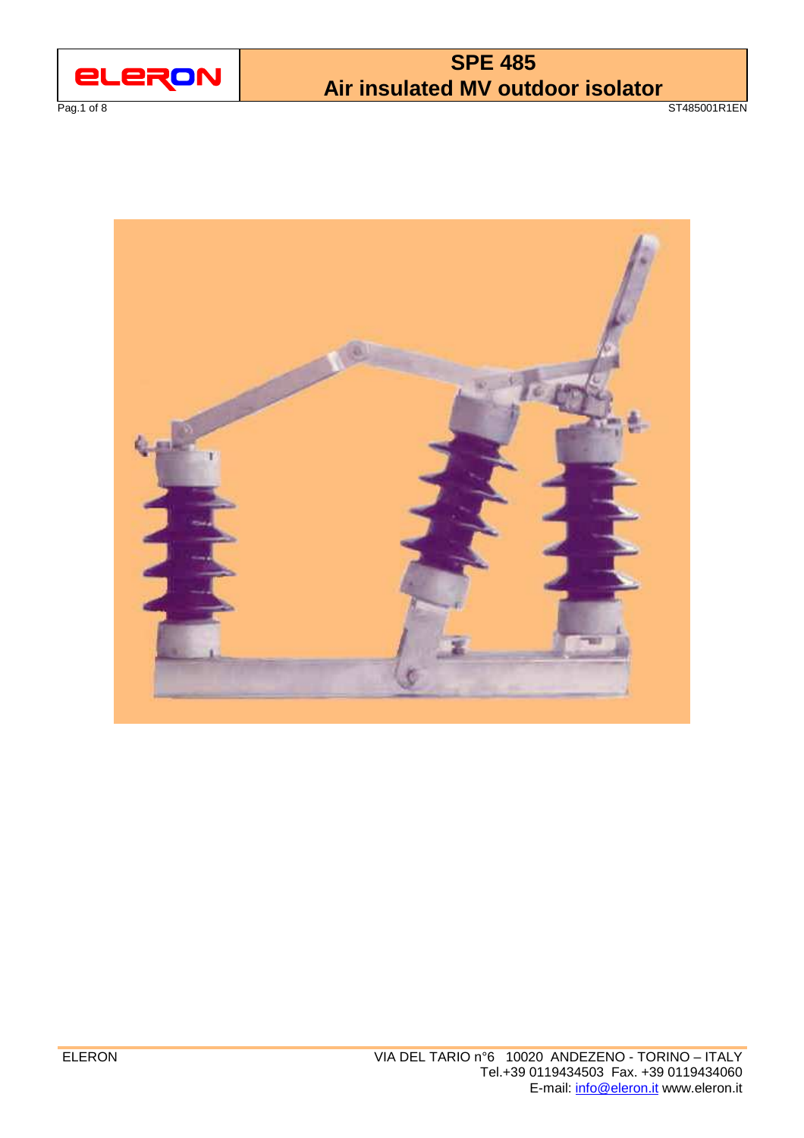

Pag.1 of 8 ST485001R1EN

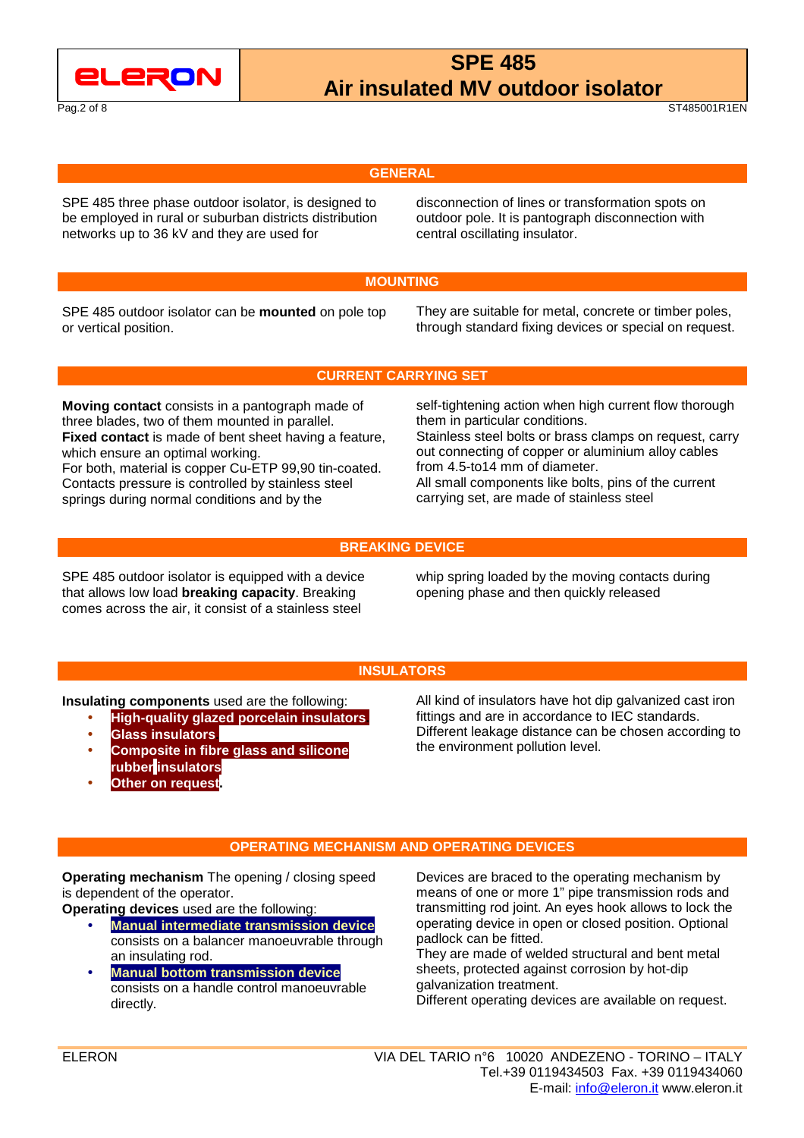

Pag.2 of 8 ST485001R1EN

### **GENERAL**

SPE 485 three phase outdoor isolator, is designed to be employed in rural or suburban districts distribution networks up to 36 kV and they are used for

 disconnection of lines or transformation spots on outdoor pole. It is pantograph disconnection with central oscillating insulator.

### **MOUNTING**

SPE 485 outdoor isolator can be **mounted** on pole top or vertical position.

 They are suitable for metal, concrete or timber poles, through standard fixing devices or special on request.

**CURRENT CARRYING SET** 

**Moving contact** consists in a pantograph made of three blades, two of them mounted in parallel. **Fixed contact** is made of bent sheet having a feature, which ensure an optimal working.

For both, material is copper Cu-ETP 99,90 tin-coated. Contacts pressure is controlled by stainless steel springs during normal conditions and by the

 self-tightening action when high current flow thorough them in particular conditions. Stainless steel bolts or brass clamps on request, carry out connecting of copper or aluminium alloy cables from 4.5-to14 mm of diameter. All small components like bolts, pins of the current carrying set, are made of stainless steel

### **BREAKING DEVICE**

SPE 485 outdoor isolator is equipped with a device that allows low load **breaking capacity**. Breaking comes across the air, it consist of a stainless steel

 whip spring loaded by the moving contacts during opening phase and then quickly released

### **INSULATORS**

**Insulating components** used are the following:

- **High-quality glazed porcelain insulators.**
- **Glass insulators.**
- **Composite in fibre glass and silicone rubber insulators**
- **Other on request**

All kind of insulators have hot dip galvanized cast iron

fittings and are in accordance to IEC standards. Different leakage distance can be chosen according to the environment pollution level.

### **OPERATING MECHANISM AND OPERATING DEVICES**

**Operating mechanism** The opening / closing speed is dependent of the operator.

**Operating devices** used are the following:

- **Manual intermediate transmission device** consists on a balancer manoeuvrable through an insulating rod.
- **Manual bottom transmission device** consists on a handle control manoeuvrable directly.

Devices are braced to the operating mechanism by means of one or more 1" pipe transmission rods and transmitting rod joint. An eyes hook allows to lock the operating device in open or closed position. Optional padlock can be fitted.

They are made of welded structural and bent metal sheets, protected against corrosion by hot-dip galvanization treatment.

Different operating devices are available on request.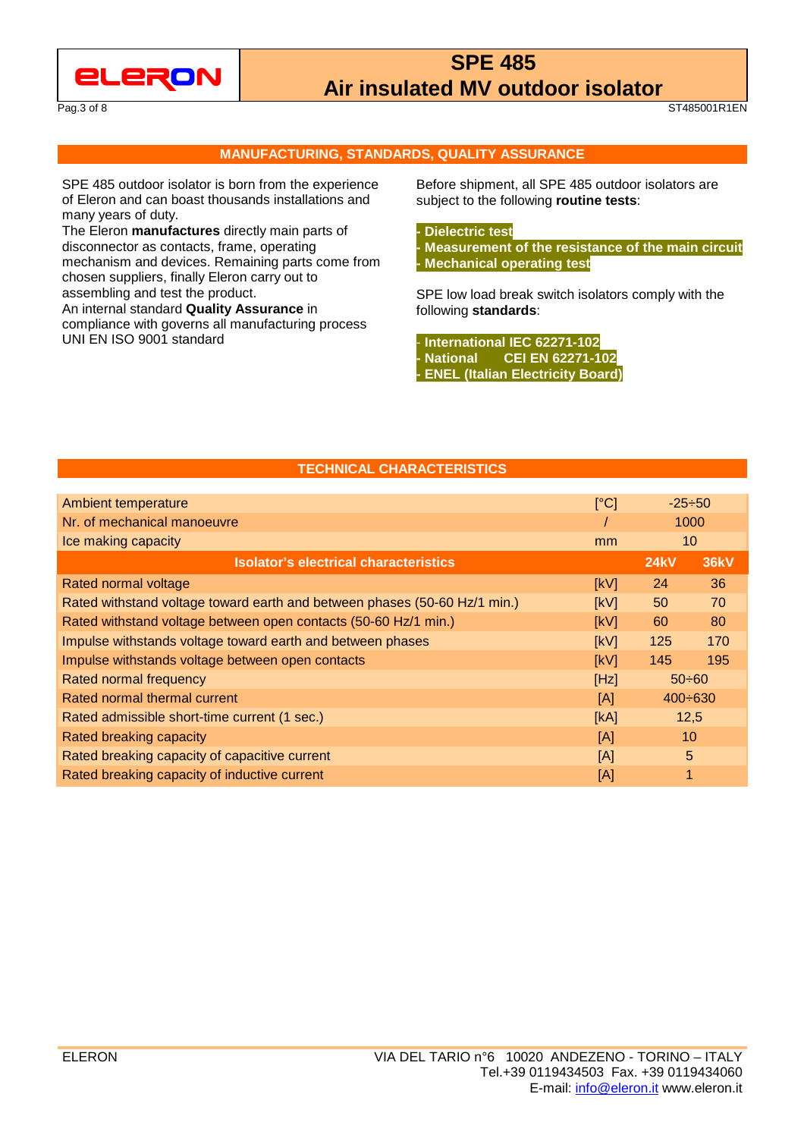

Pag.3 of 8 ST485001R1EN

#### **MANUFACTURING, STANDARDS, QUALITY ASSURANCE**

SPE 485 outdoor isolator is born from the experience of Eleron and can boast thousands installations and many years of duty.

The Eleron **manufactures** directly main parts of disconnector as contacts, frame, operating mechanism and devices. Remaining parts come from chosen suppliers, finally Eleron carry out to assembling and test the product.

An internal standard **Quality Assurance** in compliance with governs all manufacturing process UNI EN ISO 9001 standard

 Before shipment, all SPE 485 outdoor isolators are subject to the following **routine tests**:

### **- Dielectric test**

**- Measurement of the resistance of the main circuit - Mechanical operating test**

SPE low load break switch isolators comply with the following **standards**:

- **International IEC 62271-102 - National CEI EN 62271-102 - ENEL (Italian Electricity Board)**

### **TECHNICAL CHARACTERISTICS**

| Ambient temperature                                                       | [°C] | $-25 \div 50$   |             |
|---------------------------------------------------------------------------|------|-----------------|-------------|
| Nr. of mechanical manoeuvre                                               |      | 1000            |             |
| Ice making capacity                                                       |      | 10 <sup>°</sup> |             |
| <b>Isolator's electrical characteristics</b>                              |      | <b>24kV</b>     | <b>36kV</b> |
| Rated normal voltage                                                      | [kV] | 24              | 36          |
| Rated withstand voltage toward earth and between phases (50-60 Hz/1 min.) | [kV] | 50              | 70          |
| Rated withstand voltage between open contacts (50-60 Hz/1 min.)           | [kV] | 60              | 80          |
| Impulse withstands voltage toward earth and between phases                | [kV] | 125             | 170         |
| Impulse withstands voltage between open contacts                          | [kV] | 145             | 195         |
| Rated normal frequency                                                    | [Hz] | $50 \div 60$    |             |
| Rated normal thermal current                                              | [A]  | $400 \div 630$  |             |
| Rated admissible short-time current (1 sec.)                              | [KA] | 12,5            |             |
| Rated breaking capacity                                                   | [A]  | 10              |             |
| Rated breaking capacity of capacitive current                             | [A]  | 5               |             |
| Rated breaking capacity of inductive current                              | [A]  |                 |             |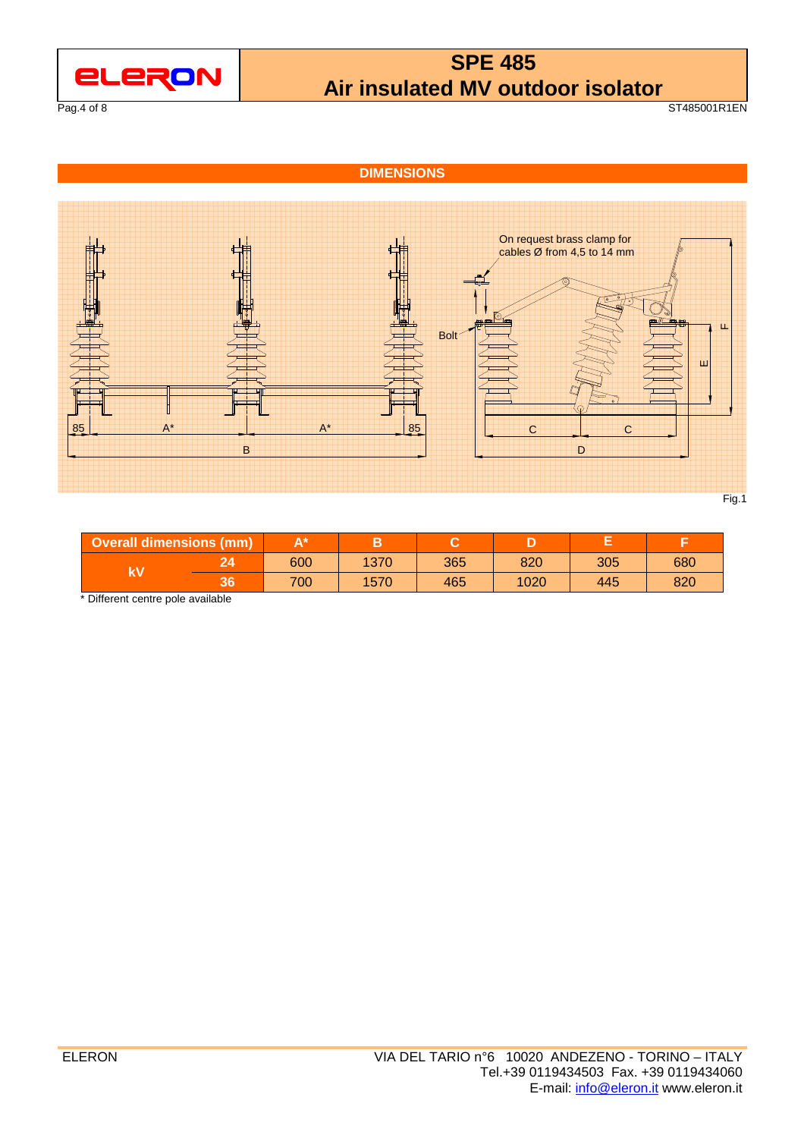

Pag.4 of 8 ST485001R1EN

### **DIMENSIONS**



| <b>Overall dimensions (mm)</b> |    |     |      |     |      |     |     |
|--------------------------------|----|-----|------|-----|------|-----|-----|
| k٧                             |    | 600 | 1370 | 365 | 820  | 305 | 680 |
|                                | ახ | 700 | 1570 | 465 | 1020 | 445 | 820 |

\* Different centre pole available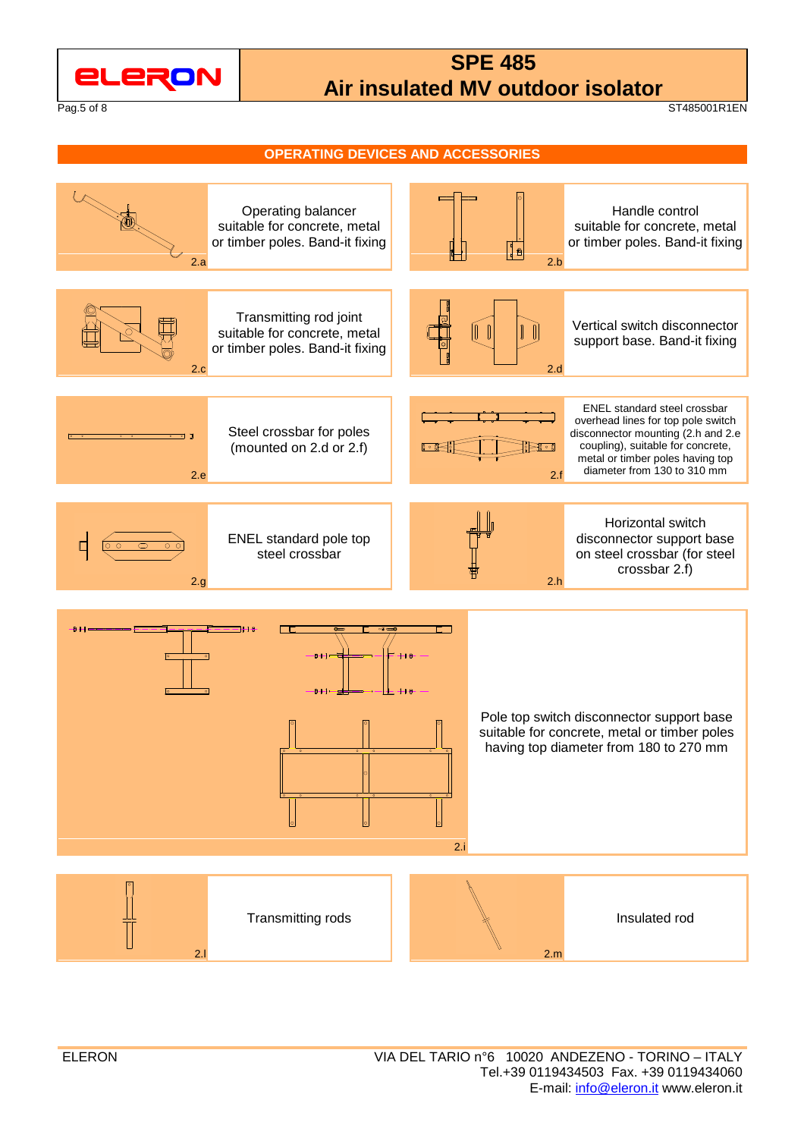

Pag.5 of 8 ST485001R1EN

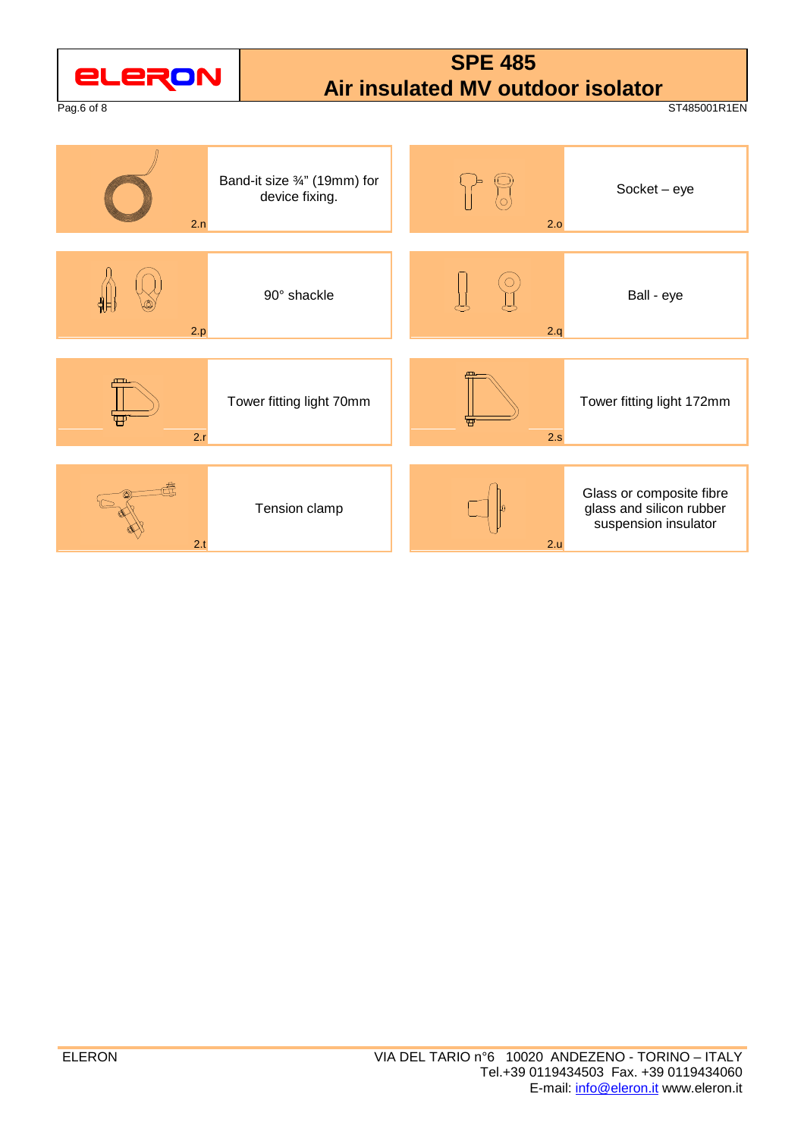| <b>ELERON</b><br>Pag.6 of 8 |                                                | <b>SPE 485</b><br>Air insulated MV outdoor isolator | ST485001R1EN                                                                 |
|-----------------------------|------------------------------------------------|-----------------------------------------------------|------------------------------------------------------------------------------|
| 2.n                         | Band-it size 3/4" (19mm) for<br>device fixing. | $\left\langle \circ \right\rangle$<br>2.0           | $Socket - eye$                                                               |
| 2.p                         | 90° shackle                                    | 2.q                                                 | Ball - eye                                                                   |
| 2.r                         | Tower fitting light 70mm                       | 2.5                                                 | Tower fitting light 172mm                                                    |
| 2.t                         | Tension clamp                                  | 2.u                                                 | Glass or composite fibre<br>glass and silicon rubber<br>suspension insulator |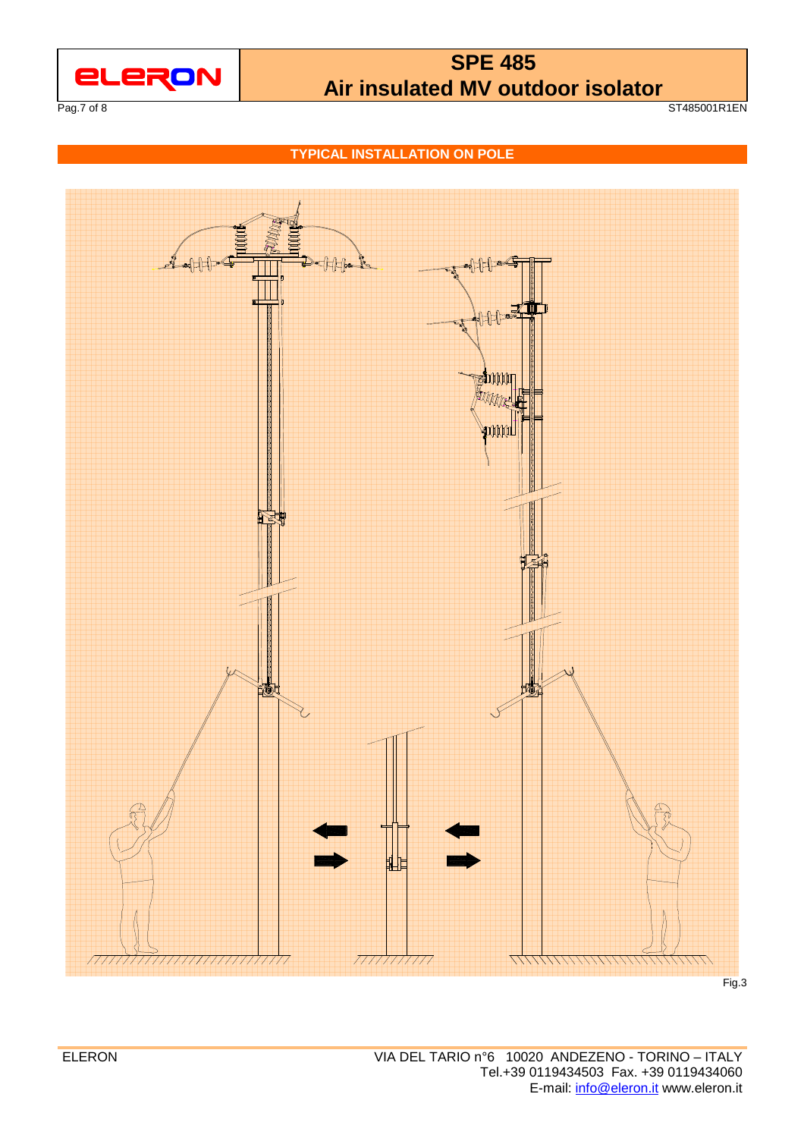

Pag.7 of 8 ST485001R1EN

**TYPICAL INSTALLATION ON POLE**